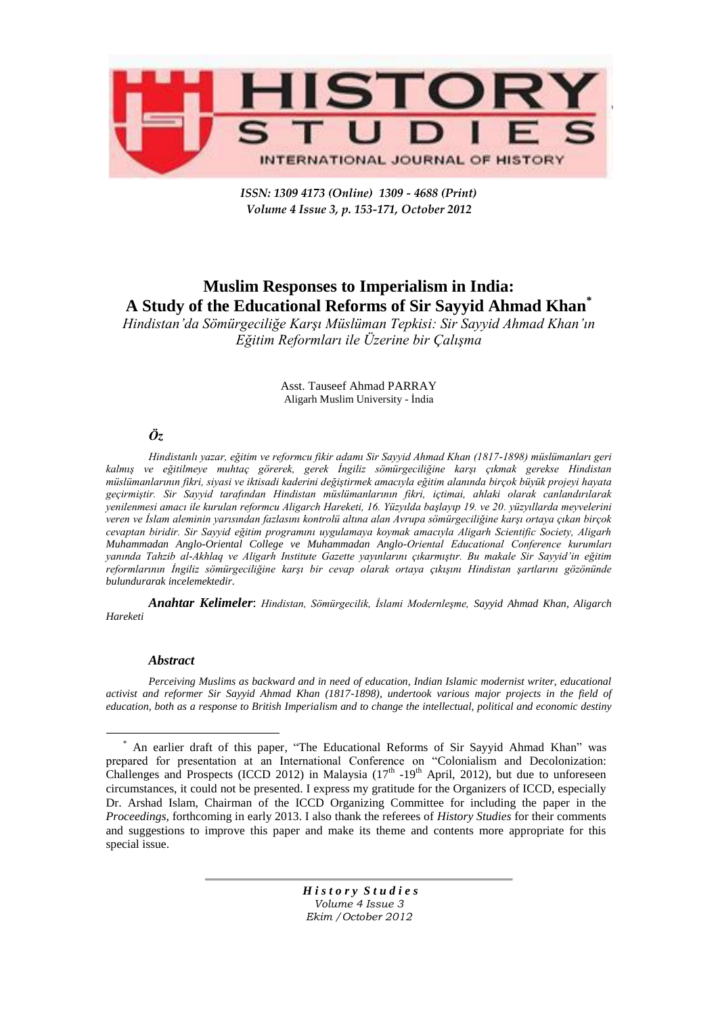

*ISSN: 1309 4173 (Online) 1309 - 4688 (Print) Volume 4 Issue 3, p. 153-171, October 2012* 

# **Muslim Responses to Imperialism in India: A Study of the Educational Reforms of Sir Sayyid Ahmad Khan\***

*Hindistan'da Sömürgeciliğe Karşı Müslüman Tepkisi: Sir Sayyid Ahmad Khan'ın Eğitim Reformları ile Üzerine bir Çalışma*

> Asst. Tauseef Ahmad PARRAY Aligarh Muslim University - İndia

# *Öz*

*Hindistanlı yazar, eğitim ve reformcu fikir adamı Sir Sayyid Ahmad Khan (1817-1898) müslümanları geri kalmış ve eğitilmeye muhtaç görerek, gerek İngiliz sömürgeciliğine karşı çıkmak gerekse Hindistan müslümanlarının fikri, siyasi ve iktisadi kaderini değiştirmek amacıyla eğitim alanında birçok büyük projeyi hayata geçirmiştir. Sir Sayyid tarafından Hindistan müslümanlarının fikri, içtimai, ahlaki olarak canlandırılarak yenilenmesi amacı ile kurulan reformcu Aligarch Hareketi, 16. Yüzyılda başlayıp 19. ve 20. yüzyıllarda meyvelerini veren ve İslam aleminin yarısından fazlasını kontrolü altına alan Avrupa sömürgeciliğine karşı ortaya çıkan birçok cevaptan biridir. Sir Sayyid eğitim programını uygulamaya koymak amacıyla Aligarh Scientific Society, Aligarh Muhammadan Anglo-Oriental College ve Muhammadan Anglo-Oriental Educational Conference kurumları yanında Tahzib al-Akhlaq ve Aligarh Institute Gazette yayınlarını çıkarmıştır. Bu makale Sir Sayyid'in eğitim reformlarının İngiliz sömürgeciliğine karşı bir cevap olarak ortaya çıkışını Hindistan şartlarını gözönünde bulundurarak incelemektedir.* 

*Anahtar Kelimeler*: *Hindistan, Sömürgecilik, İslami Modernleşme, Sayyid Ahmad Khan, Aligarch Hareketi*

#### *Abstract*

 $\overline{a}$ 

*Perceiving Muslims as backward and in need of education, Indian Islamic modernist writer, educational activist and reformer Sir Sayyid Ahmad Khan (1817-1898), undertook various major projects in the field of education, both as a response to British Imperialism and to change the intellectual, political and economic destiny* 

<sup>\*</sup> An earlier draft of this paper, "The Educational Reforms of Sir Sayyid Ahmad Khan" was prepared for presentation at an International Conference on "Colonialism and Decolonization: Challenges and Prospects (ICCD 2012) in Malaysia  $(17<sup>th</sup> - 19<sup>th</sup>$  April, 2012), but due to unforeseen circumstances, it could not be presented. I express my gratitude for the Organizers of ICCD, especially Dr. Arshad Islam, Chairman of the ICCD Organizing Committee for including the paper in the *Proceedings*, forthcoming in early 2013. I also thank the referees of *History Studies* for their comments and suggestions to improve this paper and make its theme and contents more appropriate for this special issue.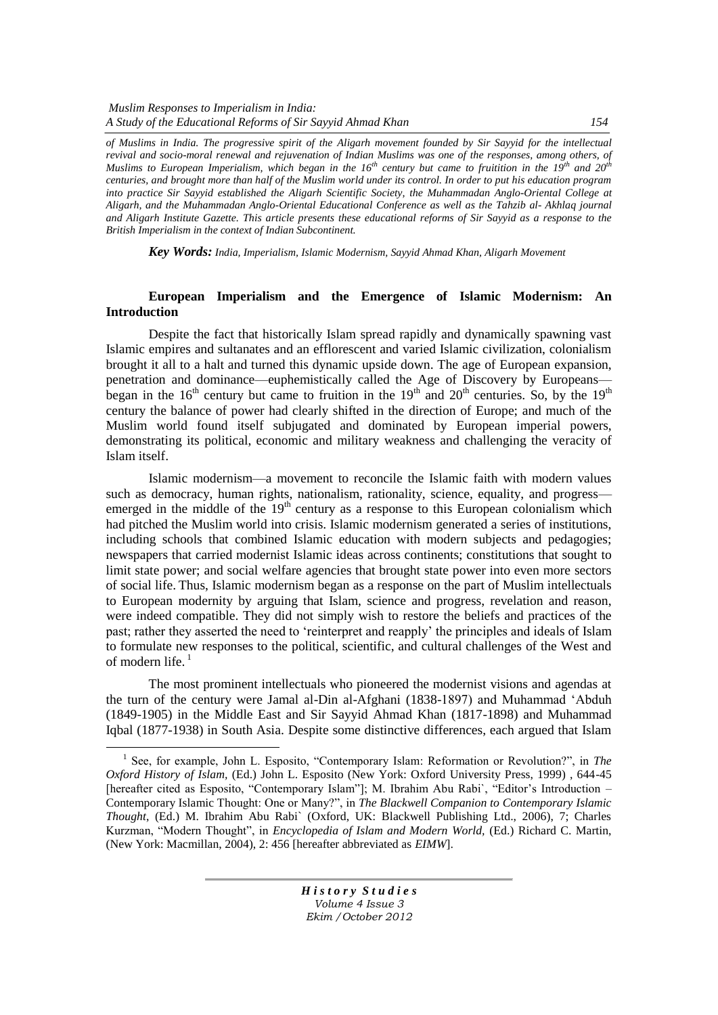*of Muslims in India. The progressive spirit of the Aligarh movement founded by Sir Sayyid for the intellectual revival and socio-moral renewal and rejuvenation of Indian Muslims was one of the responses, among others, of Muslims to European Imperialism, which began in the 16th century but came to fruitition in the 19th and 20th centuries, and brought more than half of the Muslim world under its control. In order to put his education program into practice Sir Sayyid established the Aligarh Scientific Society, the Muhammadan Anglo-Oriental College at Aligarh, and the Muhammadan Anglo-Oriental Educational Conference as well as the Tahzib al- Akhlaq journal and Aligarh Institute Gazette. This article presents these educational reforms of Sir Sayyid as a response to the British Imperialism in the context of Indian Subcontinent.* 

*Key Words: India, Imperialism, Islamic Modernism, Sayyid Ahmad Khan, Aligarh Movement*

## **European Imperialism and the Emergence of Islamic Modernism: An Introduction**

Despite the fact that historically Islam spread rapidly and dynamically spawning vast Islamic empires and sultanates and an efflorescent and varied Islamic civilization, colonialism brought it all to a halt and turned this dynamic upside down. The age of European expansion, penetration and dominance—euphemistically called the Age of Discovery by Europeans began in the  $16<sup>th</sup>$  century but came to fruition in the  $19<sup>th</sup>$  and  $20<sup>th</sup>$  centuries. So, by the  $19<sup>th</sup>$ century the balance of power had clearly shifted in the direction of Europe; and much of the Muslim world found itself subjugated and dominated by European imperial powers, demonstrating its political, economic and military weakness and challenging the veracity of Islam itself.

Islamic modernism—a movement to reconcile the Islamic faith with modern values such as democracy, human rights, nationalism, rationality, science, equality, and progress emerged in the middle of the  $19<sup>th</sup>$  century as a response to this European colonialism which had pitched the Muslim world into crisis. Islamic modernism generated a series of institutions, including schools that combined Islamic education with modern subjects and pedagogies; newspapers that carried modernist Islamic ideas across continents; constitutions that sought to limit state power; and social welfare agencies that brought state power into even more sectors of social life. Thus, Islamic modernism began as a response on the part of Muslim intellectuals to European modernity by arguing that Islam, science and progress, revelation and reason, were indeed compatible. They did not simply wish to restore the beliefs and practices of the past; rather they asserted the need to 'reinterpret and reapply' the principles and ideals of Islam to formulate new responses to the political, scientific, and cultural challenges of the West and of modern life. $<sup>1</sup>$ </sup>

The most prominent intellectuals who pioneered the modernist visions and agendas at the turn of the century were Jamal al-Din al-Afghani (1838-1897) and Muhammad 'Abduh (1849-1905) in the Middle East and Sir Sayyid Ahmad Khan (1817-1898) and Muhammad Iqbal (1877-1938) in South Asia. Despite some distinctive differences, each argued that Islam

 $\overline{a}$ 

<sup>&</sup>lt;sup>1</sup> See, for example, John L. Esposito, "Contemporary Islam: Reformation or Revolution?", in *The Oxford History of Islam,* (Ed.) John L. Esposito (New York: Oxford University Press, 1999) , 644-45 [hereafter cited as Esposito, "Contemporary Islam"]; M. Ibrahim Abu Rabi`, "Editor's Introduction – Contemporary Islamic Thought: One or Many?", in *The Blackwell Companion to Contemporary Islamic Thought*, (Ed.) M. Ibrahim Abu Rabi` (Oxford, UK: Blackwell Publishing Ltd., 2006), 7; Charles Kurzman, "Modern Thought", in *Encyclopedia of Islam and Modern World*, (Ed.) Richard C. Martin, (New York: Macmillan, 2004), 2: 456 [hereafter abbreviated as *EIMW*].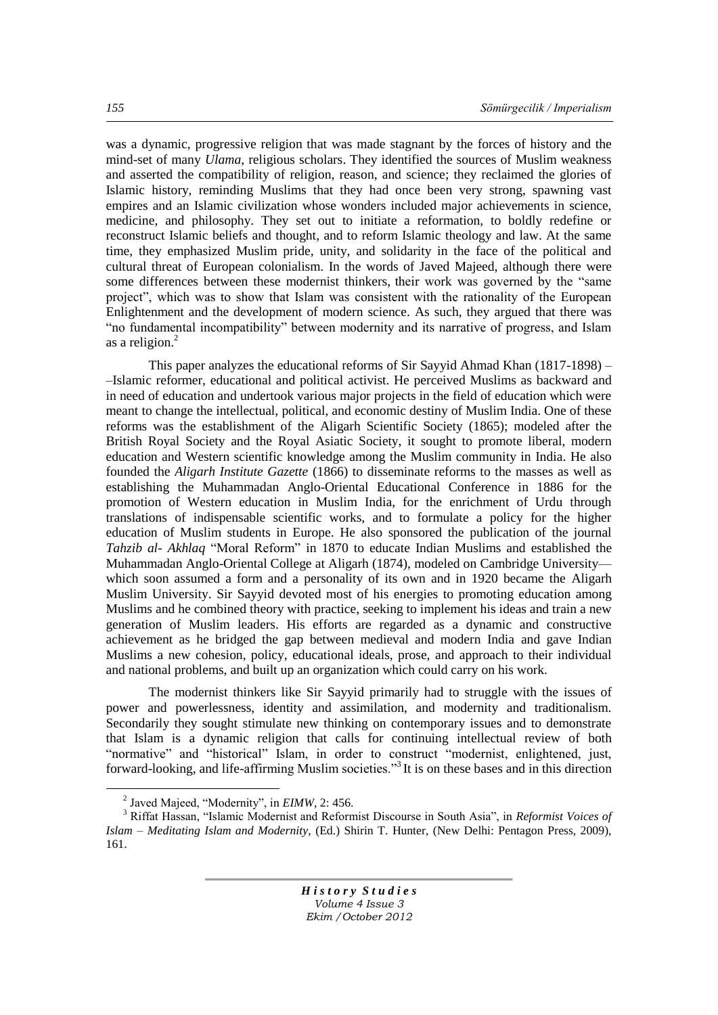was a dynamic, progressive religion that was made stagnant by the forces of history and the mind-set of many *Ulama*, religious scholars. They identified the sources of Muslim weakness and asserted the compatibility of religion, reason, and science; they reclaimed the glories of Islamic history, reminding Muslims that they had once been very strong, spawning vast empires and an Islamic civilization whose wonders included major achievements in science, medicine, and philosophy. They set out to initiate a reformation, to boldly redefine or reconstruct Islamic beliefs and thought, and to reform Islamic theology and law. At the same time, they emphasized Muslim pride, unity, and solidarity in the face of the political and cultural threat of European colonialism. In the words of Javed Majeed, although there were some differences between these modernist thinkers, their work was governed by the "same project", which was to show that Islam was consistent with the rationality of the European Enlightenment and the development of modern science. As such, they argued that there was "no fundamental incompatibility" between modernity and its narrative of progress, and Islam as a religion. $<sup>2</sup>$ </sup>

This paper analyzes the educational reforms of Sir Sayyid Ahmad Khan (1817-1898) – –Islamic reformer, educational and political activist. He perceived Muslims as backward and in need of education and undertook various major projects in the field of education which were meant to change the intellectual, political, and economic destiny of Muslim India. One of these reforms was the establishment of the Aligarh Scientific Society (1865); modeled after the British Royal Society and the Royal Asiatic Society, it sought to promote liberal, modern education and Western scientific knowledge among the Muslim community in India. He also founded the *Aligarh Institute Gazette* (1866) to disseminate reforms to the masses as well as establishing the Muhammadan Anglo-Oriental Educational Conference in 1886 for the promotion of Western education in Muslim India, for the enrichment of Urdu through translations of indispensable scientific works, and to formulate a policy for the higher education of Muslim students in Europe. He also sponsored the publication of the journal *Tahzib al- Akhlaq* "Moral Reform" in 1870 to educate Indian Muslims and established the Muhammadan Anglo-Oriental College at Aligarh (1874), modeled on Cambridge University which soon assumed a form and a personality of its own and in 1920 became the Aligarh Muslim University. Sir Sayyid devoted most of his energies to promoting education among Muslims and he combined theory with practice, seeking to implement his ideas and train a new generation of Muslim leaders. His efforts are regarded as a dynamic and constructive achievement as he bridged the gap between medieval and modern India and gave Indian Muslims a new cohesion, policy, educational ideals, prose, and approach to their individual and national problems, and built up an organization which could carry on his work.

The modernist thinkers like Sir Sayyid primarily had to struggle with the issues of power and powerlessness, identity and assimilation, and modernity and traditionalism. Secondarily they sought stimulate new thinking on contemporary issues and to demonstrate that Islam is a dynamic religion that calls for continuing intellectual review of both "normative" and "historical" Islam, in order to construct "modernist, enlightened, just, forward-looking, and life-affirming Muslim societies."<sup>3</sup> It is on these bases and in this direction

 $\overline{a}$ 

 $<sup>2</sup>$  Javed Majeed, "Modernity", in *EIMW*, 2: 456.</sup>

<sup>&</sup>lt;sup>3</sup> Riffat Hassan, "Islamic Modernist and Reformist Discourse in South Asia", in *Reformist Voices of Islam – Meditating Islam and Modernity*, (Ed.) Shirin T. Hunter, (New Delhi: Pentagon Press, 2009), 161.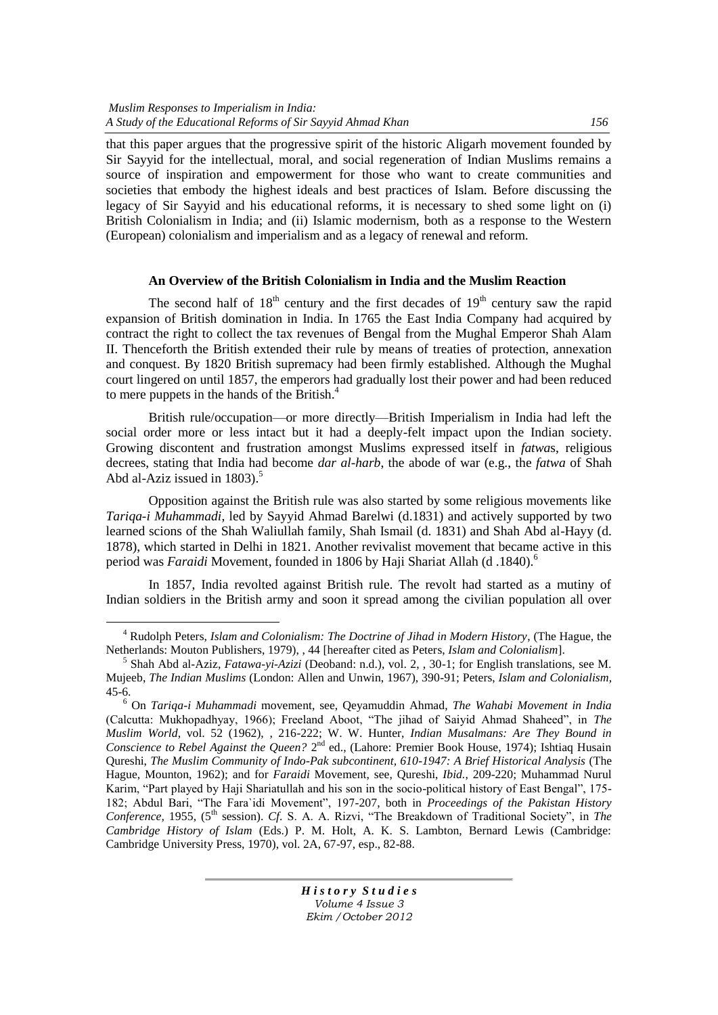$\overline{a}$ 

that this paper argues that the progressive spirit of the historic Aligarh movement founded by Sir Sayyid for the intellectual, moral, and social regeneration of Indian Muslims remains a source of inspiration and empowerment for those who want to create communities and societies that embody the highest ideals and best practices of Islam. Before discussing the legacy of Sir Sayyid and his educational reforms, it is necessary to shed some light on (i) British Colonialism in India; and (ii) Islamic modernism, both as a response to the Western (European) colonialism and imperialism and as a legacy of renewal and reform.

#### **An Overview of the British Colonialism in India and the Muslim Reaction**

The second half of  $18<sup>th</sup>$  century and the first decades of  $19<sup>th</sup>$  century saw the rapid expansion of British domination in India. In 1765 the East India Company had acquired by contract the right to collect the tax revenues of Bengal from the Mughal Emperor Shah Alam II. Thenceforth the British extended their rule by means of treaties of protection, annexation and conquest. By 1820 British supremacy had been firmly established. Although the Mughal court lingered on until 1857, the emperors had gradually lost their power and had been reduced to mere puppets in the hands of the British.<sup>4</sup>

British rule/occupation—or more directly—British Imperialism in India had left the social order more or less intact but it had a deeply-felt impact upon the Indian society. Growing discontent and frustration amongst Muslims expressed itself in *fatwa*s, religious decrees, stating that India had become *dar al-harb*, the abode of war (e.g., the *fatwa* of Shah Abd al-Aziz issued in  $1803$ .<sup>5</sup>

Opposition against the British rule was also started by some religious movements like *Tariqa-i Muhammadi*, led by Sayyid Ahmad Barelwi (d.1831) and actively supported by two learned scions of the Shah Waliullah family, Shah Ismail (d. 1831) and Shah Abd al-Hayy (d. 1878), which started in Delhi in 1821. Another revivalist movement that became active in this period was *Faraidi* Movement, founded in 1806 by Haji Shariat Allah (d .1840).<sup>6</sup>

In 1857, India revolted against British rule. The revolt had started as a mutiny of Indian soldiers in the British army and soon it spread among the civilian population all over

<sup>4</sup> Rudolph Peters, *Islam and Colonialism: The Doctrine of Jihad in Modern History*, (The Hague, the Netherlands: Mouton Publishers, 1979), , 44 [hereafter cited as Peters, *Islam and Colonialism*].

<sup>5</sup> Shah Abd al-Aziz, *Fatawa-yi-Azizi* (Deoband: n.d.), vol. 2, , 30-1; for English translations, see M. Mujeeb, *The Indian Muslims* (London: Allen and Unwin, 1967), 390-91; Peters, *Islam and Colonialism*, 45-6.

<sup>6</sup> On *Tariqa-i Muhammadi* movement, see, Qeyamuddin Ahmad, *The Wahabi Movement in India* (Calcutta: Mukhopadhyay, 1966); Freeland Aboot, "The jihad of Saiyid Ahmad Shaheed", in *The Muslim World*, vol. 52 (1962), , 216-222; W. W. Hunter, *Indian Musalmans: Are They Bound in*  Conscience to Rebel Against the Queen? 2<sup>nd</sup> ed., (Lahore: Premier Book House, 1974); Ishtiaq Husain Qureshi, *The Muslim Community of Indo-Pak subcontinent, 610-1947: A Brief Historical Analysis* (The Hague, Mounton, 1962); and for *Faraidi* Movement, see, Qureshi, *Ibid.*, 209-220; Muhammad Nurul Karim, "Part played by Haji Shariatullah and his son in the socio-political history of East Bengal", 175-182; Abdul Bari, "The Fara'idi Movement", 197-207, both in *Proceedings of the Pakistan History* Conference, 1955, (5<sup>th</sup> session). *Cf.* S. A. A. Rizvi, "The Breakdown of Traditional Society", in *The Cambridge History of Islam* (Eds.) P. M. Holt, A. K. S. Lambton, Bernard Lewis (Cambridge: Cambridge University Press, 1970), vol. 2A, 67-97, esp., 82-88.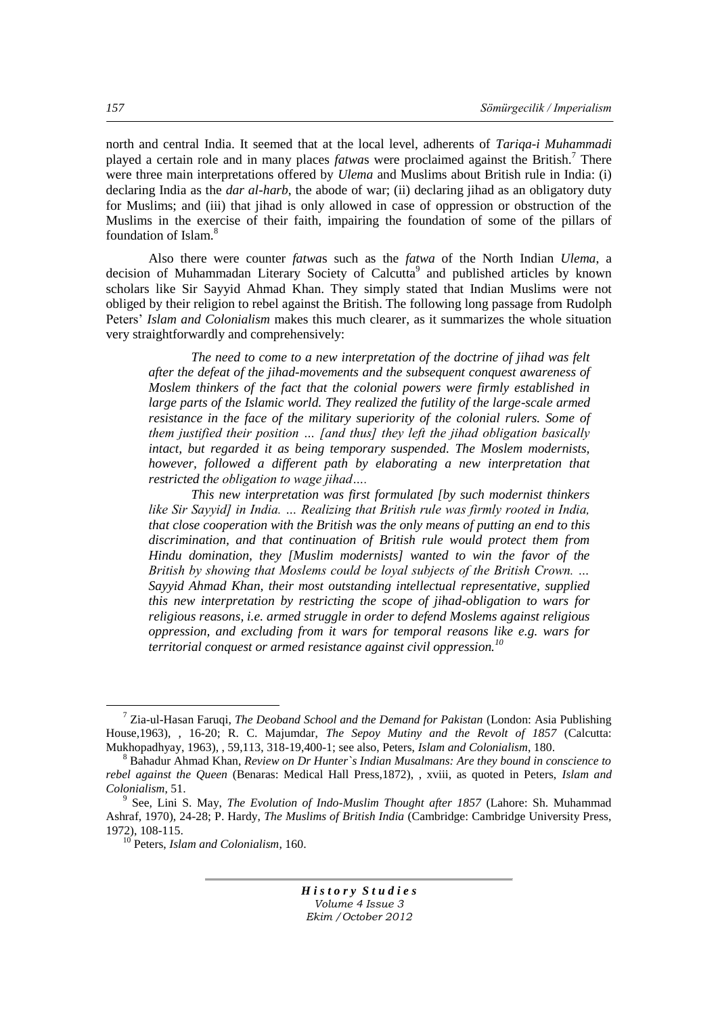north and central India. It seemed that at the local level, adherents of *Tariqa-i Muhammadi* played a certain role and in many places *fatwa*s were proclaimed against the British.<sup>7</sup> There were three main interpretations offered by *Ulema* and Muslims about British rule in India: (i) declaring India as the *dar al-harb*, the abode of war; (ii) declaring jihad as an obligatory duty for Muslims; and (iii) that jihad is only allowed in case of oppression or obstruction of the Muslims in the exercise of their faith, impairing the foundation of some of the pillars of foundation of Islam.<sup>8</sup>

Also there were counter *fatwa*s such as the *fatwa* of the North Indian *Ulema*, a decision of Muhammadan Literary Society of Calcutta<sup>9</sup> and published articles by known scholars like Sir Sayyid Ahmad Khan. They simply stated that Indian Muslims were not obliged by their religion to rebel against the British. The following long passage from Rudolph Peters' *Islam and Colonialism* makes this much clearer, as it summarizes the whole situation very straightforwardly and comprehensively:

*The need to come to a new interpretation of the doctrine of jihad was felt after the defeat of the jihad-movements and the subsequent conquest awareness of Moslem thinkers of the fact that the colonial powers were firmly established in large parts of the Islamic world. They realized the futility of the large-scale armed resistance in the face of the military superiority of the colonial rulers. Some of them justified their position … [and thus] they left the jihad obligation basically intact, but regarded it as being temporary suspended. The Moslem modernists, however, followed a different path by elaborating a new interpretation that restricted the obligation to wage jihad….*

*This new interpretation was first formulated [by such modernist thinkers like Sir Sayyid] in India. … Realizing that British rule was firmly rooted in India, that close cooperation with the British was the only means of putting an end to this discrimination, and that continuation of British rule would protect them from Hindu domination, they [Muslim modernists] wanted to win the favor of the British by showing that Moslems could be loyal subjects of the British Crown. … Sayyid Ahmad Khan, their most outstanding intellectual representative, supplied this new interpretation by restricting the scope of jihad-obligation to wars for religious reasons, i.e. armed struggle in order to defend Moslems against religious oppression, and excluding from it wars for temporal reasons like e.g. wars for territorial conquest or armed resistance against civil oppression.<sup>10</sup>*

*H i s t o r y S t u d i e s Volume 4 Issue 3 Ekim /October 2012*

 $\overline{a}$ 

<sup>7</sup> Zia-ul-Hasan Faruqi, *The Deoband School and the Demand for Pakistan* (London: Asia Publishing House,1963), , 16-20; R. C. Majumdar, *The Sepoy Mutiny and the Revolt of 1857* (Calcutta: Mukhopadhyay, 1963), , 59,113, 318-19,400-1; see also, Peters, *Islam and Colonialism*, 180.

<sup>8</sup> Bahadur Ahmad Khan, *Review on Dr Hunter`s Indian Musalmans: Are they bound in conscience to rebel against the Queen* (Benaras: Medical Hall Press,1872), , xviii, as quoted in Peters, *Islam and Colonialism*, 51.

<sup>9</sup> See, Lini S. May, *The Evolution of Indo-Muslim Thought after 1857* (Lahore: Sh. Muhammad Ashraf, 1970), 24-28; P. Hardy, *The Muslims of British India* (Cambridge: Cambridge University Press, 1972), 108-115.

<sup>10</sup> Peters, *Islam and Colonialism*, 160.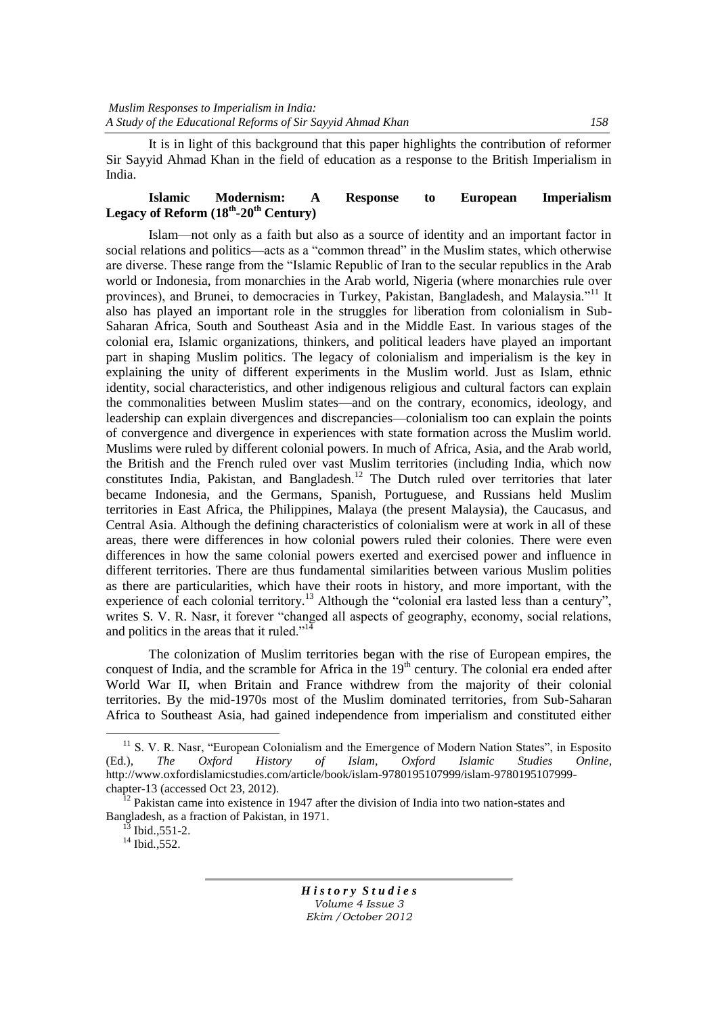It is in light of this background that this paper highlights the contribution of reformer Sir Sayyid Ahmad Khan in the field of education as a response to the British Imperialism in India.

## **Islamic Modernism: A Response to European Imperialism Legacy of Reform (18th -20th Century)**

Islam—not only as a faith but also as a source of identity and an important factor in social relations and politics—acts as a "common thread" in the Muslim states, which otherwise are diverse. These range from the "Islamic Republic of Iran to the secular republics in the Arab world or Indonesia, from monarchies in the Arab world, Nigeria (where monarchies rule over provinces), and Brunei, to democracies in Turkey, Pakistan, Bangladesh, and Malaysia."<sup>11</sup> It also has played an important role in the struggles for liberation from colonialism in Sub-Saharan Africa, South and Southeast Asia and in the Middle East. In various stages of the colonial era, Islamic organizations, thinkers, and political leaders have played an important part in shaping Muslim politics. The legacy of colonialism and imperialism is the key in explaining the unity of different experiments in the Muslim world. Just as Islam, ethnic identity, social characteristics, and other indigenous religious and cultural factors can explain the commonalities between Muslim states—and on the contrary, economics, ideology, and leadership can explain divergences and discrepancies—colonialism too can explain the points of convergence and divergence in experiences with state formation across the Muslim world. Muslims were ruled by different colonial powers. In much of Africa, Asia, and the Arab world, the British and the French ruled over vast Muslim territories (including India, which now constitutes India, Pakistan, and Bangladesh.<sup>12</sup> The Dutch ruled over territories that later became Indonesia, and the Germans, Spanish, Portuguese, and Russians held Muslim territories in East Africa, the Philippines, Malaya (the present Malaysia), the Caucasus, and Central Asia. Although the defining characteristics of colonialism were at work in all of these areas, there were differences in how colonial powers ruled their colonies. There were even differences in how the same colonial powers exerted and exercised power and influence in different territories. There are thus fundamental similarities between various Muslim polities as there are particularities, which have their roots in history, and more important, with the experience of each colonial territory.<sup>13</sup> Although the "colonial era lasted less than a century", writes S. V. R. Nasr, it forever "changed all aspects of geography, economy, social relations, and politics in the areas that it ruled."<sup>14</sup>

The colonization of Muslim territories began with the rise of European empires, the conquest of India, and the scramble for Africa in the  $19<sup>th</sup>$  century. The colonial era ended after World War II, when Britain and France withdrew from the majority of their colonial territories. By the mid-1970s most of the Muslim dominated territories, from Sub-Saharan Africa to Southeast Asia, had gained independence from imperialism and constituted either

 $\overline{a}$ 

<sup>&</sup>lt;sup>11</sup> S. V. R. Nasr, "European Colonialism and the Emergence of Modern Nation States", in Esposito (Ed.), *The Oxford History of Islam*, *Oxford Islamic Studies Online*, http://www.oxfordislamicstudies.com/article/book/islam-9780195107999/islam-9780195107999 chapter-13 (accessed Oct 23, 2012).

<sup>&</sup>lt;sup>12</sup> Pakistan came into existence in 1947 after the division of India into two nation-states and Bangladesh, as a fraction of Pakistan, in 1971.

 $^{13}$  Ibid., 551-2.

<sup>14</sup> Ibid*.*,552.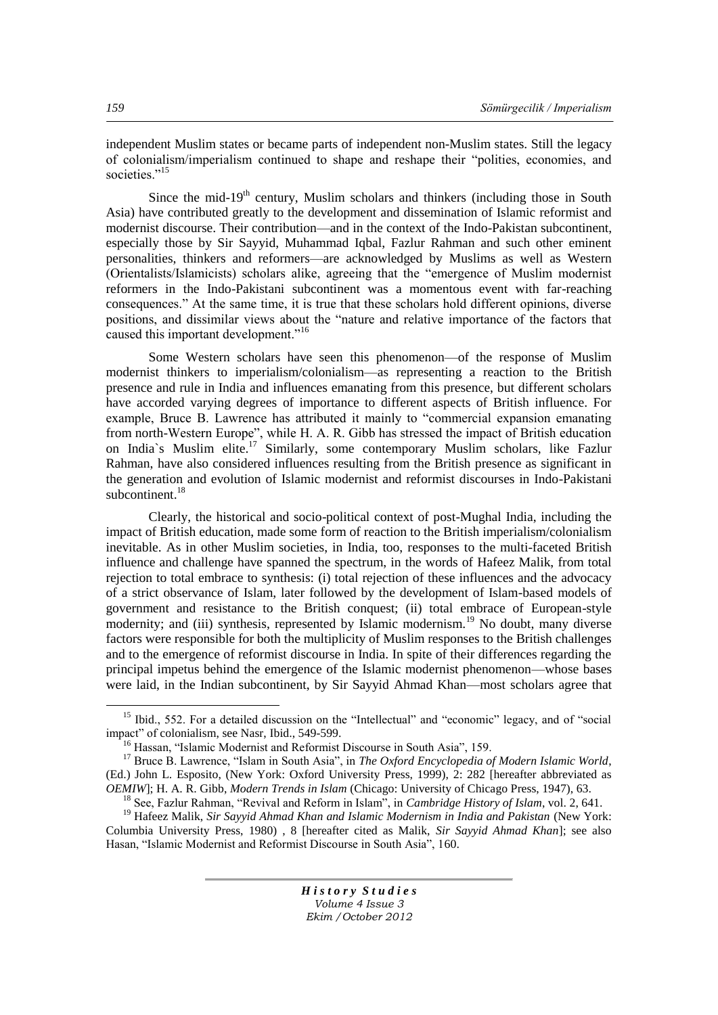independent Muslim states or became parts of independent non-Muslim states. Still the legacy of colonialism/imperialism continued to shape and reshape their "polities, economies, and societies<sup>",15</sup>

Since the mid-19<sup>th</sup> century, Muslim scholars and thinkers (including those in South Asia) have contributed greatly to the development and dissemination of Islamic reformist and modernist discourse. Their contribution—and in the context of the Indo-Pakistan subcontinent, especially those by Sir Sayyid, Muhammad Iqbal, Fazlur Rahman and such other eminent personalities, thinkers and reformers—are acknowledged by Muslims as well as Western (Orientalists/Islamicists) scholars alike, agreeing that the "emergence of Muslim modernist reformers in the Indo-Pakistani subcontinent was a momentous event with far-reaching consequences." At the same time, it is true that these scholars hold different opinions, diverse positions, and dissimilar views about the "nature and relative importance of the factors that caused this important development."<sup>16</sup>

Some Western scholars have seen this phenomenon—of the response of Muslim modernist thinkers to imperialism/colonialism—as representing a reaction to the British presence and rule in India and influences emanating from this presence, but different scholars have accorded varying degrees of importance to different aspects of British influence. For example, Bruce B. Lawrence has attributed it mainly to "commercial expansion emanating from north-Western Europe", while H. A. R. Gibb has stressed the impact of British education on India's Muslim elite.<sup>17</sup> Similarly, some contemporary Muslim scholars, like Fazlur Rahman, have also considered influences resulting from the British presence as significant in the generation and evolution of Islamic modernist and reformist discourses in Indo-Pakistani subcontinent. $18$ 

Clearly, the historical and socio-political context of post-Mughal India, including the impact of British education, made some form of reaction to the British imperialism/colonialism inevitable. As in other Muslim societies, in India, too, responses to the multi-faceted British influence and challenge have spanned the spectrum, in the words of Hafeez Malik, from total rejection to total embrace to synthesis: (i) total rejection of these influences and the advocacy of a strict observance of Islam, later followed by the development of Islam-based models of government and resistance to the British conquest; (ii) total embrace of European-style modernity; and (iii) synthesis, represented by Islamic modernism.<sup>19</sup> No doubt, many diverse factors were responsible for both the multiplicity of Muslim responses to the British challenges and to the emergence of reformist discourse in India. In spite of their differences regarding the principal impetus behind the emergence of the Islamic modernist phenomenon—whose bases were laid, in the Indian subcontinent, by Sir Sayyid Ahmad Khan—most scholars agree that

*H i s t o r y S t u d i e s Volume 4 Issue 3 Ekim /October 2012*

 $\overline{a}$ 

 $15$  Ibid., 552. For a detailed discussion on the "Intellectual" and "economic" legacy, and of "social impact" of colonialism, see Nasr, Ibid., 549-599.

<sup>&</sup>lt;sup>16</sup> Hassan, "Islamic Modernist and Reformist Discourse in South Asia", 159.

<sup>&</sup>lt;sup>17</sup> Bruce B. Lawrence, "Islam in South Asia", in *The Oxford Encyclopedia of Modern Islamic World*, (Ed.) John L. Esposito, (New York: Oxford University Press, 1999), 2: 282 [hereafter abbreviated as *OEMIW*]; H. A. R. Gibb, *Modern Trends in Islam* (Chicago: University of Chicago Press, 1947), 63.

<sup>&</sup>lt;sup>18</sup> See, Fazlur Rahman, "Revival and Reform in Islam", in *Cambridge History of Islam*, vol. 2, 641.

<sup>19</sup> Hafeez Malik, *Sir Sayyid Ahmad Khan and Islamic Modernism in India and Pakistan* (New York: Columbia University Press, 1980) , 8 [hereafter cited as Malik, *Sir Sayyid Ahmad Khan*]; see also Hasan, "Islamic Modernist and Reformist Discourse in South Asia", 160.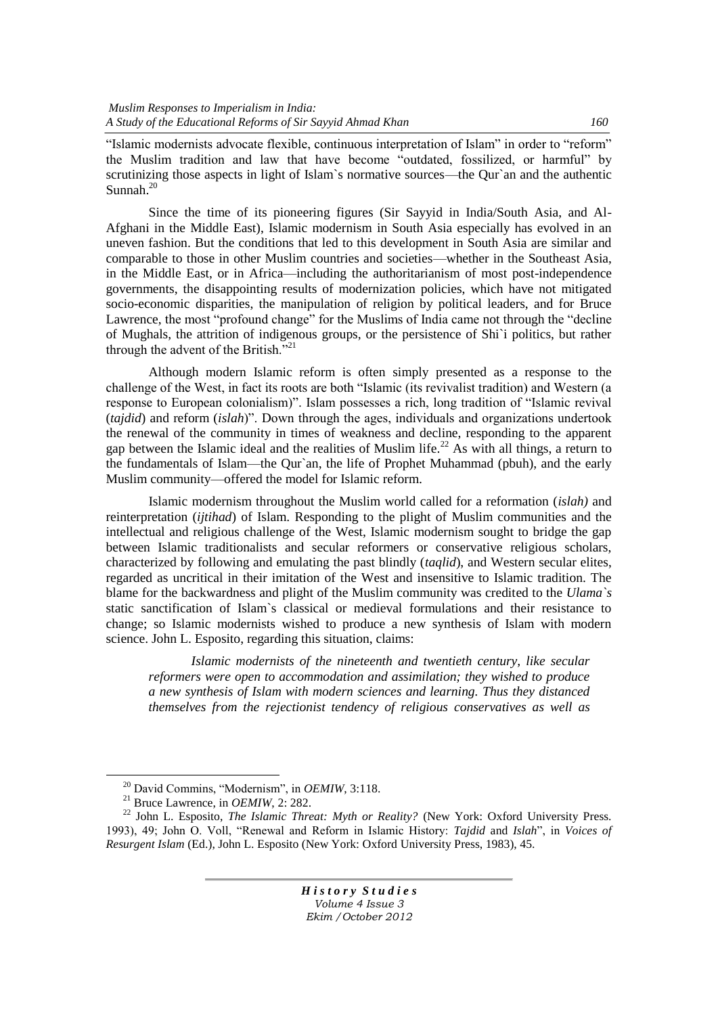"Islamic modernists advocate flexible, continuous interpretation of Islam" in order to "reform" the Muslim tradition and law that have become "outdated, fossilized, or harmful" by scrutinizing those aspects in light of Islam's normative sources—the Qur'an and the authentic Sunnah.<sup>20</sup>

Since the time of its pioneering figures (Sir Sayyid in India/South Asia, and Al-Afghani in the Middle East), Islamic modernism in South Asia especially has evolved in an uneven fashion. But the conditions that led to this development in South Asia are similar and comparable to those in other Muslim countries and societies—whether in the Southeast Asia, in the Middle East, or in Africa—including the authoritarianism of most post-independence governments, the disappointing results of modernization policies, which have not mitigated socio-economic disparities, the manipulation of religion by political leaders, and for Bruce Lawrence, the most "profound change" for the Muslims of India came not through the "decline" of Mughals, the attrition of indigenous groups, or the persistence of Shi`i politics, but rather through the advent of the British.<sup>721</sup>

Although modern Islamic reform is often simply presented as a response to the challenge of the West, in fact its roots are both "Islamic (its revivalist tradition) and Western (a response to European colonialism)". Islam possesses a rich, long tradition of "Islamic revival". (*tajdid*) and reform (*islah*)". Down through the ages, individuals and organizations undertook the renewal of the community in times of weakness and decline, responding to the apparent gap between the Islamic ideal and the realities of Muslim life.<sup>22</sup> As with all things, a return to the fundamentals of Islam—the Qur`an, the life of Prophet Muhammad (pbuh), and the early Muslim community—offered the model for Islamic reform.

Islamic modernism throughout the Muslim world called for a reformation (*islah)* and reinterpretation (*ijtihad*) of Islam. Responding to the plight of Muslim communities and the intellectual and religious challenge of the West, Islamic modernism sought to bridge the gap between Islamic traditionalists and secular reformers or conservative religious scholars, characterized by following and emulating the past blindly (*taqlid*), and Western secular elites, regarded as uncritical in their imitation of the West and insensitive to Islamic tradition. The blame for the backwardness and plight of the Muslim community was credited to the *Ulama`s* static sanctification of Islam`s classical or medieval formulations and their resistance to change; so Islamic modernists wished to produce a new synthesis of Islam with modern science. John L. Esposito, regarding this situation, claims:

*Islamic modernists of the nineteenth and twentieth century, like secular reformers were open to accommodation and assimilation; they wished to produce a new synthesis of Islam with modern sciences and learning. Thus they distanced themselves from the rejectionist tendency of religious conservatives as well as* 

 $\overline{a}$ 

<sup>&</sup>lt;sup>20</sup> David Commins, "Modernism", in *OEMIW*, 3:118.

<sup>21</sup> Bruce Lawrence, in *OEMIW*, 2: 282.

<sup>22</sup> John L. Esposito, *The Islamic Threat: Myth or Reality?* (New York: Oxford University Press. 1993), 49; John O. Voll, "Renewal and Reform in Islamic History: *Tajdid* and *Islah*", in *Voices of Resurgent Islam* (Ed.), John L. Esposito (New York: Oxford University Press, 1983), 45.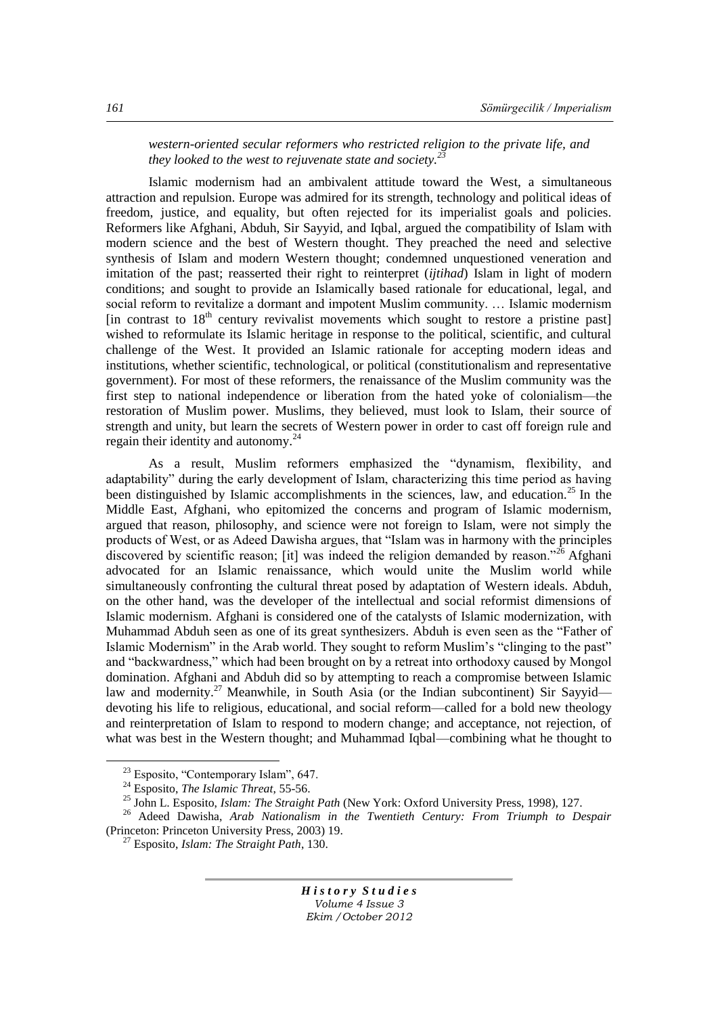*western-oriented secular reformers who restricted religion to the private life, and they looked to the west to rejuvenate state and society.*<sup>2</sup>

Islamic modernism had an ambivalent attitude toward the West, a simultaneous attraction and repulsion. Europe was admired for its strength, technology and political ideas of freedom, justice, and equality, but often rejected for its imperialist goals and policies. Reformers like Afghani, Abduh, Sir Sayyid, and Iqbal, argued the compatibility of Islam with modern science and the best of Western thought. They preached the need and selective synthesis of Islam and modern Western thought; condemned unquestioned veneration and imitation of the past; reasserted their right to reinterpret (*ijtihad*) Islam in light of modern conditions; and sought to provide an Islamically based rationale for educational, legal, and social reform to revitalize a dormant and impotent Muslim community. … Islamic modernism [in contrast to  $18<sup>th</sup>$  century revivalist movements which sought to restore a pristine past] wished to reformulate its Islamic heritage in response to the political, scientific, and cultural challenge of the West. It provided an Islamic rationale for accepting modern ideas and institutions, whether scientific, technological, or political (constitutionalism and representative government). For most of these reformers, the renaissance of the Muslim community was the first step to national independence or liberation from the hated yoke of colonialism—the restoration of Muslim power. Muslims, they believed, must look to Islam, their source of strength and unity, but learn the secrets of Western power in order to cast off foreign rule and regain their identity and autonomy.<sup>24</sup>

As a result, Muslim reformers emphasized the "dynamism, flexibility, and adaptability" during the early development of Islam, characterizing this time period as having been distinguished by Islamic accomplishments in the sciences, law, and education.<sup>25</sup> In the Middle East, Afghani, who epitomized the concerns and program of Islamic modernism, argued that reason, philosophy, and science were not foreign to Islam, were not simply the products of West, or as Adeed Dawisha argues, that "Islam was in harmony with the principles discovered by scientific reason; [it] was indeed the religion demanded by reason.<sup>326</sup> Afghani advocated for an Islamic renaissance, which would unite the Muslim world while simultaneously confronting the cultural threat posed by adaptation of Western ideals. Abduh, on the other hand, was the developer of the intellectual and social reformist dimensions of Islamic modernism. Afghani is considered one of the catalysts of Islamic modernization, with Muhammad Abduh seen as one of its great synthesizers. Abduh is even seen as the "Father of Islamic Modernism" in the Arab world. They sought to reform Muslim's "clinging to the past" and "backwardness," which had been brought on by a retreat into orthodoxy caused by Mongol domination. Afghani and Abduh did so by attempting to reach a compromise between Islamic law and modernity.<sup>27</sup> Meanwhile, in South Asia (or the Indian subcontinent) Sir Sayyid devoting his life to religious, educational, and social reform—called for a bold new theology and reinterpretation of Islam to respond to modern change; and acceptance, not rejection, of what was best in the Western thought; and Muhammad Iqbal—combining what he thought to

 $\overline{a}$ 

 $23$  Esposito, "Contemporary Islam", 647.

<sup>24</sup> Esposito, *The Islamic Threat*, 55-56.

<sup>25</sup> John L. Esposito, *Islam: The Straight Path* (New York: Oxford University Press, 1998), 127.

<sup>26</sup> Adeed Dawisha, *Arab Nationalism in the Twentieth Century: From Triumph to Despair* (Princeton: Princeton University Press, 2003) 19.

<sup>27</sup> Esposito, *Islam: The Straight Path*, 130.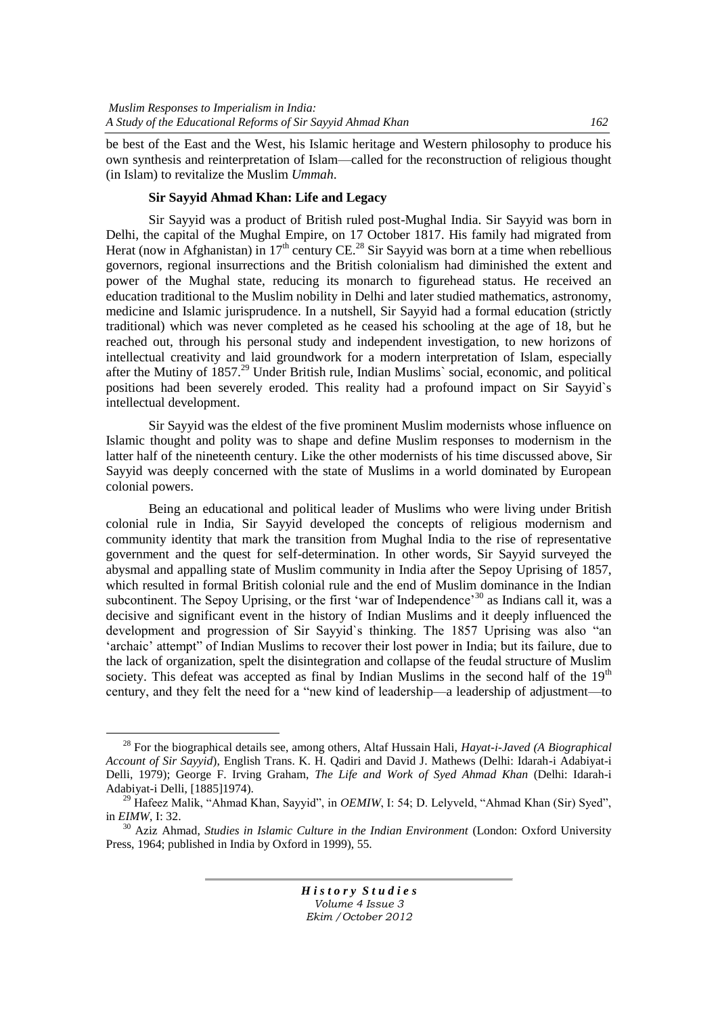be best of the East and the West, his Islamic heritage and Western philosophy to produce his own synthesis and reinterpretation of Islam—called for the reconstruction of religious thought (in Islam) to revitalize the Muslim *Ummah*.

# **Sir Sayyid Ahmad Khan: Life and Legacy**

Sir Sayyid was a product of British ruled post-Mughal India. Sir Sayyid was born in Delhi, the capital of the Mughal Empire, on 17 October 1817. His family had migrated from Herat (now in Afghanistan) in  $17<sup>th</sup>$  century CE.<sup>28</sup> Sir Sayyid was born at a time when rebellious governors, regional insurrections and the British colonialism had diminished the extent and power of the Mughal state, reducing its monarch to figurehead status. He received an education traditional to the Muslim nobility in Delhi and later studied mathematics, astronomy, medicine and Islamic jurisprudence. In a nutshell, Sir Sayyid had a formal education (strictly traditional) which was never completed as he ceased his schooling at the age of 18, but he reached out, through his personal study and independent investigation, to new horizons of intellectual creativity and laid groundwork for a modern interpretation of Islam, especially after the Mutiny of 1857.<sup>29</sup> Under British rule, Indian Muslims` social, economic, and political positions had been severely eroded. This reality had a profound impact on Sir Sayyid`s intellectual development.

Sir Sayyid was the eldest of the five prominent Muslim modernists whose influence on Islamic thought and polity was to shape and define Muslim responses to modernism in the latter half of the nineteenth century. Like the other modernists of his time discussed above, Sir Sayyid was deeply concerned with the state of Muslims in a world dominated by European colonial powers.

Being an educational and political leader of Muslims who were living under British colonial rule in India, Sir Sayyid developed the concepts of religious modernism and community identity that mark the transition from Mughal India to the rise of representative government and the quest for self-determination. In other words, Sir Sayyid surveyed the abysmal and appalling state of Muslim community in India after the Sepoy Uprising of 1857, which resulted in formal British colonial rule and the end of Muslim dominance in the Indian subcontinent. The Sepoy Uprising, or the first 'war of Independence'<sup>30</sup> as Indians call it, was a decisive and significant event in the history of Indian Muslims and it deeply influenced the development and progression of Sir Sayyid's thinking. The 1857 Uprising was also "an 'archaic' attempt" of Indian Muslims to recover their lost power in India; but its failure, due to the lack of organization, spelt the disintegration and collapse of the feudal structure of Muslim society. This defeat was accepted as final by Indian Muslims in the second half of the  $19<sup>th</sup>$ century, and they felt the need for a "new kind of leadership—a leadership of adjustment—to

 $\overline{a}$ 

<sup>28</sup> For the biographical details see, among others, Altaf Hussain Hali, *Hayat-i-Javed (A Biographical Account of Sir Sayyid*), English Trans. K. H. Qadiri and David J. Mathews (Delhi: Idarah-i Adabiyat-i Delli, 1979); George F. Irving Graham, *The Life and Work of Syed Ahmad Khan* (Delhi: Idarah-i Adabiyat-i Delli, [1885]1974).

<sup>&</sup>lt;sup>29</sup> Hafeez Malik, "Ahmad Khan, Sayyid", in *OEMIW*, I: 54; D. Lelyveld, "Ahmad Khan (Sir) Syed", in *EIMW*, I: 32.

<sup>30</sup> Aziz Ahmad, *Studies in Islamic Culture in the Indian Environment* (London: Oxford University Press, 1964; published in India by Oxford in 1999), 55.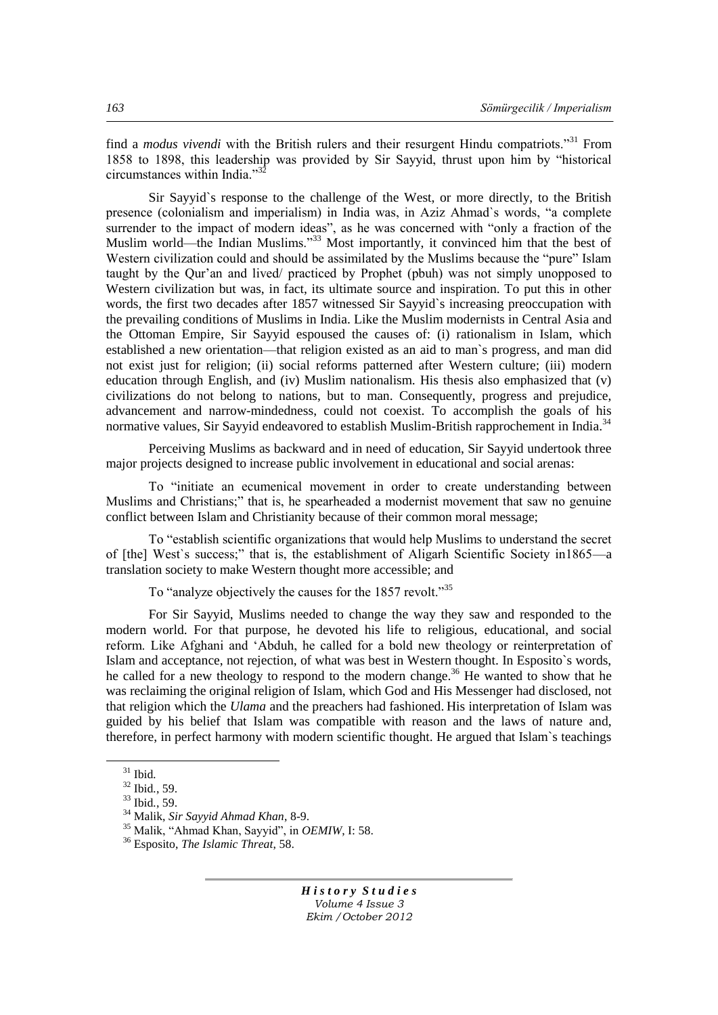find a *modus vivendi* with the British rulers and their resurgent Hindu compatriots."<sup>31</sup> From 1858 to 1898, this leadership was provided by Sir Sayvid, thrust upon him by "historical circumstances within India. $^{32}$ 

Sir Sayyid`s response to the challenge of the West, or more directly, to the British presence (colonialism and imperialism) in India was, in Aziz Ahmad's words, "a complete surrender to the impact of modern ideas", as he was concerned with "only a fraction of the Muslim world—the Indian Muslims.<sup>333</sup> Most importantly, it convinced him that the best of Western civilization could and should be assimilated by the Muslims because the "pure" Islam taught by the Qur'an and lived/ practiced by Prophet (pbuh) was not simply unopposed to Western civilization but was, in fact, its ultimate source and inspiration. To put this in other words, the first two decades after 1857 witnessed Sir Sayyid`s increasing preoccupation with the prevailing conditions of Muslims in India. Like the Muslim modernists in Central Asia and the Ottoman Empire, Sir Sayyid espoused the causes of: (i) rationalism in Islam, which established a new orientation—that religion existed as an aid to man`s progress, and man did not exist just for religion; (ii) social reforms patterned after Western culture; (iii) modern education through English, and (iv) Muslim nationalism. His thesis also emphasized that (v) civilizations do not belong to nations, but to man. Consequently, progress and prejudice, advancement and narrow-mindedness, could not coexist. To accomplish the goals of his normative values, Sir Sayyid endeavored to establish Muslim-British rapprochement in India.<sup>34</sup>

Perceiving Muslims as backward and in need of education, Sir Sayyid undertook three major projects designed to increase public involvement in educational and social arenas:

To "initiate an ecumenical movement in order to create understanding between Muslims and Christians;" that is, he spearheaded a modernist movement that saw no genuine conflict between Islam and Christianity because of their common moral message;

To "establish scientific organizations that would help Muslims to understand the secret of [the] West's success;" that is, the establishment of Aligarh Scientific Society in1865—a translation society to make Western thought more accessible; and

To "analyze objectively the causes for the 1857 revolt."<sup>35</sup>

For Sir Sayyid, Muslims needed to change the way they saw and responded to the modern world. For that purpose, he devoted his life to religious, educational, and social reform. Like Afghani and 'Abduh, he called for a bold new theology or reinterpretation of Islam and acceptance, not rejection, of what was best in Western thought. In Esposito`s words, he called for a new theology to respond to the modern change.<sup>36</sup> He wanted to show that he was reclaiming the original religion of Islam, which God and His Messenger had disclosed, not that religion which the *Ulama* and the preachers had fashioned. His interpretation of Islam was guided by his belief that Islam was compatible with reason and the laws of nature and, therefore, in perfect harmony with modern scientific thought. He argued that Islam`s teachings

 $\overline{a}$ 

<sup>31</sup> Ibid*.*

<sup>32</sup> Ibid*.*, 59.

<sup>33</sup> Ibid*.*, 59.

<sup>34</sup> Malik, *Sir Sayyid Ahmad Khan*, 8-9.

<sup>&</sup>lt;sup>35</sup> Malik, "Ahmad Khan, Sayyid", in *OEMIW*, I: 58.

<sup>36</sup> Esposito, *The Islamic Threat*, 58.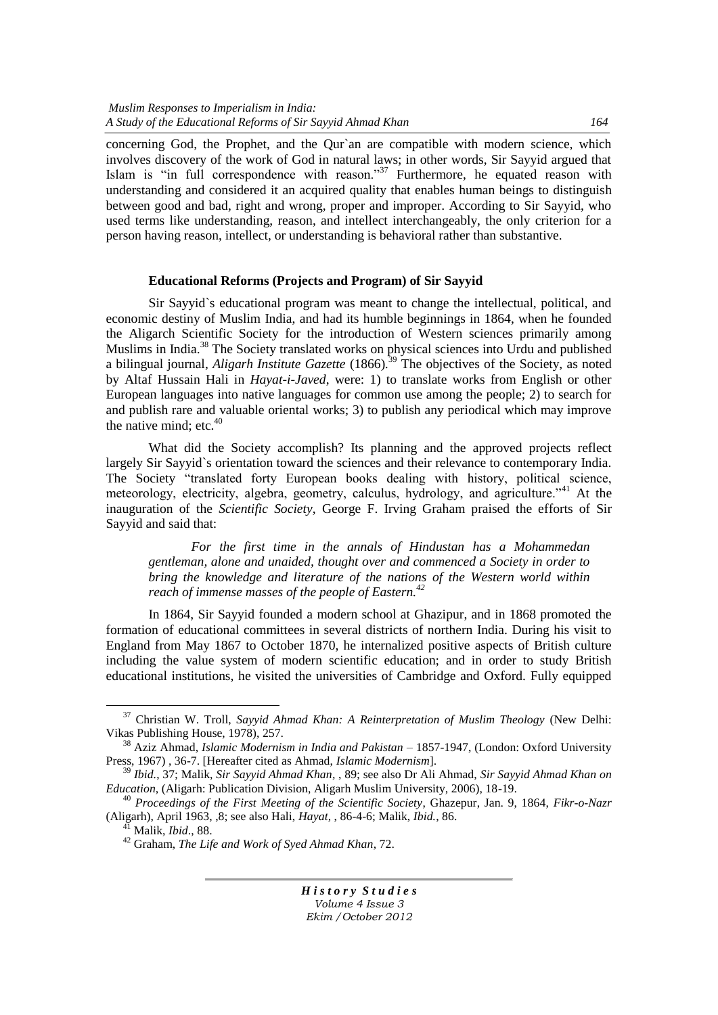concerning God, the Prophet, and the Qur'an are compatible with modern science, which involves discovery of the work of God in natural laws; in other words, Sir Sayyid argued that Islam is "in full correspondence with reason."<sup>37</sup> Furthermore, he equated reason with understanding and considered it an acquired quality that enables human beings to distinguish between good and bad, right and wrong, proper and improper. According to Sir Sayyid, who used terms like understanding, reason, and intellect interchangeably, the only criterion for a person having reason, intellect, or understanding is behavioral rather than substantive.

#### **Educational Reforms (Projects and Program) of Sir Sayyid**

Sir Sayyid`s educational program was meant to change the intellectual, political, and economic destiny of Muslim India, and had its humble beginnings in 1864, when he founded the Aligarch Scientific Society for the introduction of Western sciences primarily among Muslims in India.<sup>38</sup> The Society translated works on physical sciences into Urdu and published a bilingual journal, *Aligarh Institute Gazette* (1866)*.* <sup>39</sup> The objectives of the Society, as noted by Altaf Hussain Hali in *Hayat-i-Javed*, were: 1) to translate works from English or other European languages into native languages for common use among the people; 2) to search for and publish rare and valuable oriental works; 3) to publish any periodical which may improve the native mind; etc. $40$ 

What did the Society accomplish? Its planning and the approved projects reflect largely Sir Sayyid`s orientation toward the sciences and their relevance to contemporary India. The Society "translated forty European books dealing with history, political science, meteorology, electricity, algebra, geometry, calculus, hydrology, and agriculture."<sup>41</sup> At the inauguration of the *Scientific Society*, George F. Irving Graham praised the efforts of Sir Sayyid and said that:

*For the first time in the annals of Hindustan has a Mohammedan gentleman, alone and unaided, thought over and commenced a Society in order to bring the knowledge and literature of the nations of the Western world within reach of immense masses of the people of Eastern.<sup>42</sup>*

In 1864, Sir Sayyid founded a modern school at Ghazipur, and in 1868 promoted the formation of educational committees in several districts of northern India. During his visit to England from May 1867 to October 1870, he internalized positive aspects of British culture including the value system of modern scientific education; and in order to study British educational institutions, he visited the universities of Cambridge and Oxford. Fully equipped

 $\overline{a}$ 

<sup>37</sup> Christian W. Troll, *Sayyid Ahmad Khan: A Reinterpretation of Muslim Theology* (New Delhi: Vikas Publishing House, 1978), 257.

<sup>38</sup> Aziz Ahmad, *Islamic Modernism in India and Pakistan* – 1857-1947, (London: Oxford University Press, 1967) , 36-7. [Hereafter cited as Ahmad, *Islamic Modernism*].

<sup>39</sup> *Ibid.*, 37; Malik, *Sir Sayyid Ahmad Khan,* , 89; see also Dr Ali Ahmad, *Sir Sayyid Ahmad Khan on Education*, (Aligarh: Publication Division, Aligarh Muslim University, 2006), 18-19.

<sup>40</sup> *Proceedings of the First Meeting of the Scientific Society*, Ghazepur, Jan. 9, 1864, *Fikr-o-Nazr*  (Aligarh), April 1963, ,8; see also Hali, *Hayat,* , 86-4-6; Malik, *Ibid.*, 86.

<sup>41</sup> Malik, *Ibid*., 88.

<sup>42</sup> Graham, *The Life and Work of Syed Ahmad Khan*, 72.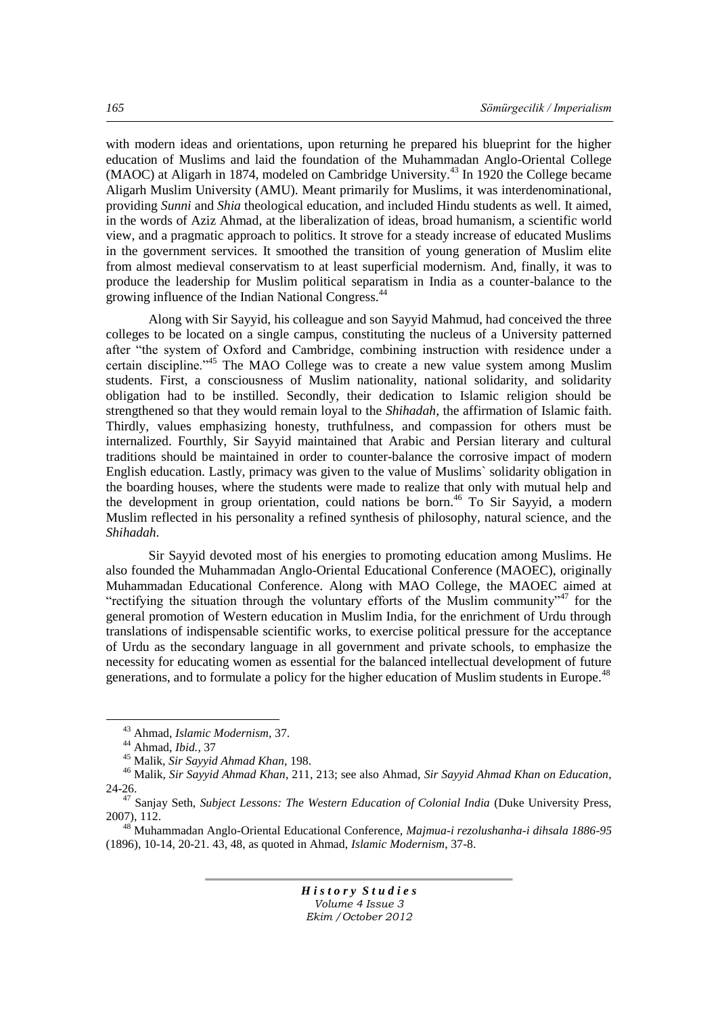with modern ideas and orientations, upon returning he prepared his blueprint for the higher education of Muslims and laid the foundation of the Muhammadan Anglo-Oriental College (MAOC) at Aligarh in 1874, modeled on Cambridge University.<sup>43</sup> In 1920 the College became Aligarh Muslim University (AMU). Meant primarily for Muslims, it was interdenominational, providing *Sunni* and *Shia* theological education, and included Hindu students as well. It aimed, in the words of Aziz Ahmad, at the liberalization of ideas, broad humanism, a scientific world view, and a pragmatic approach to politics. It strove for a steady increase of educated Muslims in the government services. It smoothed the transition of young generation of Muslim elite from almost medieval conservatism to at least superficial modernism. And, finally, it was to produce the leadership for Muslim political separatism in India as a counter-balance to the growing influence of the Indian National Congress.<sup>44</sup>

Along with Sir Sayyid, his colleague and son Sayyid Mahmud, had conceived the three colleges to be located on a single campus, constituting the nucleus of a University patterned after "the system of Oxford and Cambridge, combining instruction with residence under a certain discipline.<sup> $345$ </sup> The MAO College was to create a new value system among Muslim students. First, a consciousness of Muslim nationality, national solidarity, and solidarity obligation had to be instilled. Secondly, their dedication to Islamic religion should be strengthened so that they would remain loyal to the *Shihadah*, the affirmation of Islamic faith. Thirdly, values emphasizing honesty, truthfulness, and compassion for others must be internalized. Fourthly, Sir Sayyid maintained that Arabic and Persian literary and cultural traditions should be maintained in order to counter-balance the corrosive impact of modern English education. Lastly, primacy was given to the value of Muslims` solidarity obligation in the boarding houses, where the students were made to realize that only with mutual help and the development in group orientation, could nations be born.<sup>46</sup> To Sir Sayyid, a modern Muslim reflected in his personality a refined synthesis of philosophy, natural science, and the *Shihadah*.

Sir Sayyid devoted most of his energies to promoting education among Muslims. He also founded the Muhammadan Anglo-Oriental Educational Conference (MAOEC), originally Muhammadan Educational Conference. Along with MAO College, the MAOEC aimed at "rectifying the situation through the voluntary efforts of the Muslim community"<sup>47</sup> for the general promotion of Western education in Muslim India, for the enrichment of Urdu through translations of indispensable scientific works, to exercise political pressure for the acceptance of Urdu as the secondary language in all government and private schools, to emphasize the necessity for educating women as essential for the balanced intellectual development of future generations, and to formulate a policy for the higher education of Muslim students in Europe.<sup>48</sup>

 $\overline{a}$ 

<sup>48</sup> Muhammadan Anglo-Oriental Educational Conference, *Majmua-i rezolushanha-i dihsala 1886-95*  (1896), 10-14, 20-21. 43, 48, as quoted in Ahmad, *Islamic Modernism*, 37-8.

<sup>43</sup> Ahmad, *Islamic Modernism*, 37.

<sup>44</sup> Ahmad, *Ibid.*, 37

<sup>45</sup> Malik, *Sir Sayyid Ahmad Khan*, 198.

<sup>46</sup> Malik, *Sir Sayyid Ahmad Khan*, 211, 213; see also Ahmad, *Sir Sayyid Ahmad Khan on Education*, 24-26.

<sup>&</sup>lt;sup>47</sup> Sanjay Seth, *Subject Lessons: The Western Education of Colonial India* (Duke University Press, 2007), 112.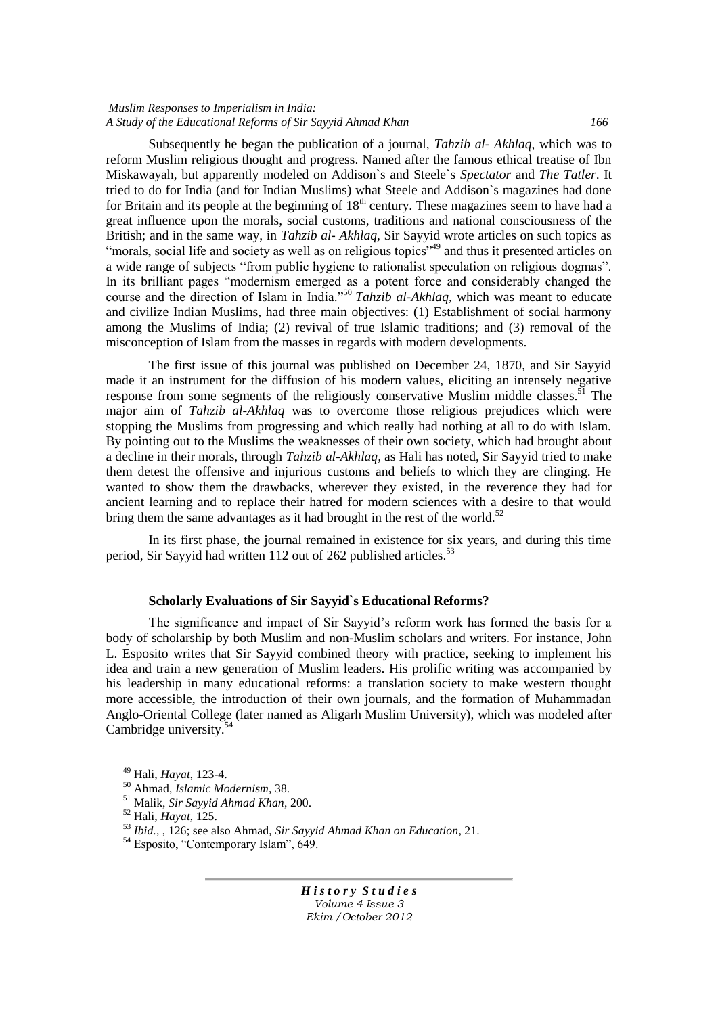Subsequently he began the publication of a journal, *Tahzib al- Akhlaq*, which was to reform Muslim religious thought and progress. Named after the famous ethical treatise of Ibn Miskawayah, but apparently modeled on Addison`s and Steele`s *Spectator* and *The Tatler*. It tried to do for India (and for Indian Muslims) what Steele and Addison`s magazines had done for Britain and its people at the beginning of  $18<sup>th</sup>$  century. These magazines seem to have had a great influence upon the morals, social customs, traditions and national consciousness of the British; and in the same way, in *Tahzib al- Akhlaq,* Sir Sayyid wrote articles on such topics as ―morals, social life and society as well as on religious topics‖<sup>49</sup> and thus it presented articles on a wide range of subjects "from public hygiene to rationalist speculation on religious dogmas". In its brilliant pages "modernism emerged as a potent force and considerably changed the course and the direction of Islam in India."<sup>50</sup> *Tahzib al-Akhlaq*, which was meant to educate and civilize Indian Muslims, had three main objectives: (1) Establishment of social harmony among the Muslims of India; (2) revival of true Islamic traditions; and (3) removal of the misconception of Islam from the masses in regards with modern developments.

The first issue of this journal was published on December 24, 1870, and Sir Sayyid made it an instrument for the diffusion of his modern values, eliciting an intensely negative response from some segments of the religiously conservative Muslim middle classes.<sup> $51$ </sup> The major aim of *Tahzib al-Akhlaq* was to overcome those religious prejudices which were stopping the Muslims from progressing and which really had nothing at all to do with Islam. By pointing out to the Muslims the weaknesses of their own society, which had brought about a decline in their morals, through *Tahzib al-Akhlaq,* as Hali has noted, Sir Sayyid tried to make them detest the offensive and injurious customs and beliefs to which they are clinging. He wanted to show them the drawbacks, wherever they existed, in the reverence they had for ancient learning and to replace their hatred for modern sciences with a desire to that would bring them the same advantages as it had brought in the rest of the world.<sup>52</sup>

In its first phase, the journal remained in existence for six years, and during this time period, Sir Sayyid had written 112 out of 262 published articles.<sup>53</sup>

### **Scholarly Evaluations of Sir Sayyid`s Educational Reforms?**

The significance and impact of Sir Sayyid's reform work has formed the basis for a body of scholarship by both Muslim and non-Muslim scholars and writers. For instance, John L. Esposito writes that Sir Sayyid combined theory with practice, seeking to implement his idea and train a new generation of Muslim leaders. His prolific writing was accompanied by his leadership in many educational reforms: a translation society to make western thought more accessible, the introduction of their own journals, and the formation of Muhammadan Anglo-Oriental College (later named as Aligarh Muslim University), which was modeled after Cambridge university.<sup>5</sup>

 $\overline{a}$ 

<sup>49</sup> Hali, *Hayat*, 123-4.

<sup>50</sup> Ahmad, *Islamic Modernism*, 38.

<sup>51</sup> Malik, *Sir Sayyid Ahmad Khan*, 200.

<sup>52</sup> Hali, *Hayat*, 125.

<sup>53</sup> *Ibid.,* , 126; see also Ahmad, *Sir Sayyid Ahmad Khan on Education*, 21.

 $54$  Esposito, "Contemporary Islam",  $649$ .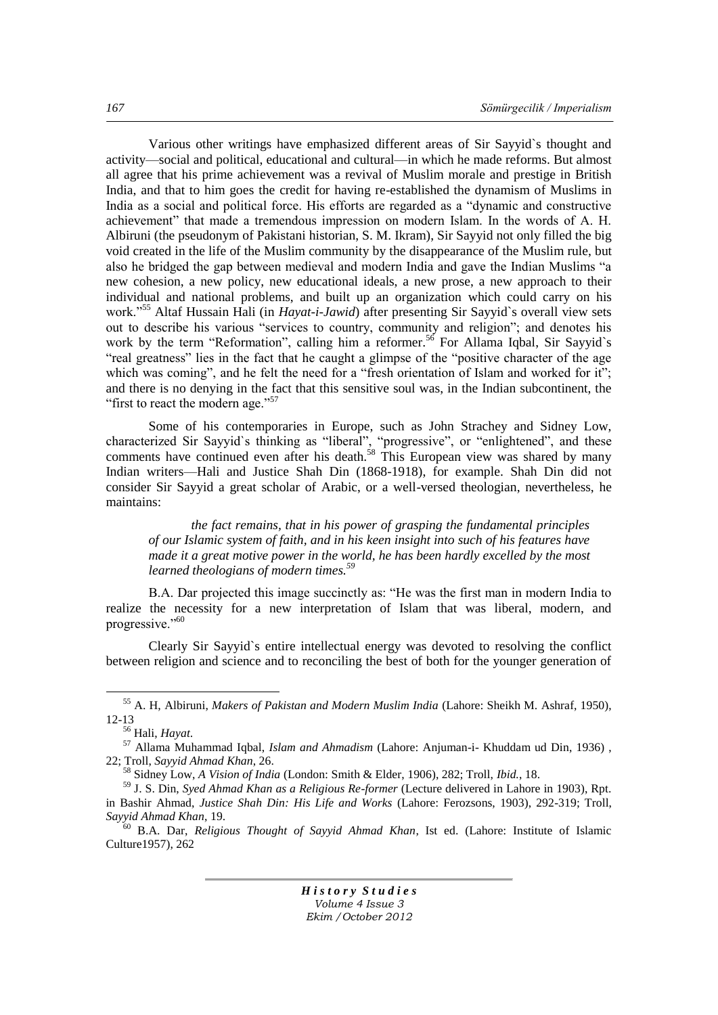Various other writings have emphasized different areas of Sir Sayyid`s thought and activity—social and political, educational and cultural—in which he made reforms. But almost all agree that his prime achievement was a revival of Muslim morale and prestige in British India, and that to him goes the credit for having re-established the dynamism of Muslims in India as a social and political force. His efforts are regarded as a "dynamic and constructive achievement" that made a tremendous impression on modern Islam. In the words of A. H. Albiruni (the pseudonym of Pakistani historian, S. M. Ikram), Sir Sayyid not only filled the big void created in the life of the Muslim community by the disappearance of the Muslim rule, but also he bridged the gap between medieval and modern India and gave the Indian Muslims "a new cohesion, a new policy, new educational ideals, a new prose, a new approach to their individual and national problems, and built up an organization which could carry on his work."<sup>55</sup> Altaf Hussain Hali (in *Hayat-i-Jawid*) after presenting Sir Sayyid`s overall view sets out to describe his various "services to country, community and religion"; and denotes his work by the term "Reformation", calling him a reformer.<sup>56</sup> For Allama Igbal, Sir Sayyid`s "real greatness" lies in the fact that he caught a glimpse of the "positive character of the age which was coming", and he felt the need for a "fresh orientation of Islam and worked for it"; and there is no denying in the fact that this sensitive soul was, in the Indian subcontinent, the "first to react the modern age."<sup>57</sup>

Some of his contemporaries in Europe, such as John Strachey and Sidney Low, characterized Sir Sayyid`s thinking as "liberal", "progressive", or "enlightened", and these comments have continued even after his death.<sup>58</sup> This European view was shared by many Indian writers—Hali and Justice Shah Din (1868-1918), for example. Shah Din did not consider Sir Sayyid a great scholar of Arabic, or a well-versed theologian, nevertheless, he maintains:

*the fact remains, that in his power of grasping the fundamental principles of our Islamic system of faith, and in his keen insight into such of his features have made it a great motive power in the world, he has been hardly excelled by the most learned theologians of modern times.<sup>59</sup>*

B.A. Dar projected this image succinctly as: "He was the first man in modern India to realize the necessity for a new interpretation of Islam that was liberal, modern, and progressive."<sup>60</sup>

Clearly Sir Sayyid`s entire intellectual energy was devoted to resolving the conflict between religion and science and to reconciling the best of both for the younger generation of

 $\overline{a}$ 

<sup>55</sup> A. H, Albiruni, *Makers of Pakistan and Modern Muslim India* (Lahore: Sheikh M. Ashraf, 1950), 12-13

<sup>56</sup> Hali, *Hayat*.

<sup>57</sup> Allama Muhammad Iqbal, *Islam and Ahmadism* (Lahore: Anjuman-i- Khuddam ud Din, 1936) , 22; Troll, *Sayyid Ahmad Khan*, 26.

<sup>58</sup> Sidney Low, *A Vision of India* (London: Smith & Elder, 1906), 282; Troll, *Ibid.*, 18.

<sup>59</sup> J. S. Din, *Syed Ahmad Khan as a Religious Re-former* (Lecture delivered in Lahore in 1903), Rpt. in Bashir Ahmad, *Justice Shah Din: His Life and Works* (Lahore: Ferozsons, 1903), 292-319; Troll, *Sayyid Ahmad Khan*, 19.

<sup>60</sup> B.A. Dar, *Religious Thought of Sayyid Ahmad Khan*, Ist ed. (Lahore: Institute of Islamic Culture1957), 262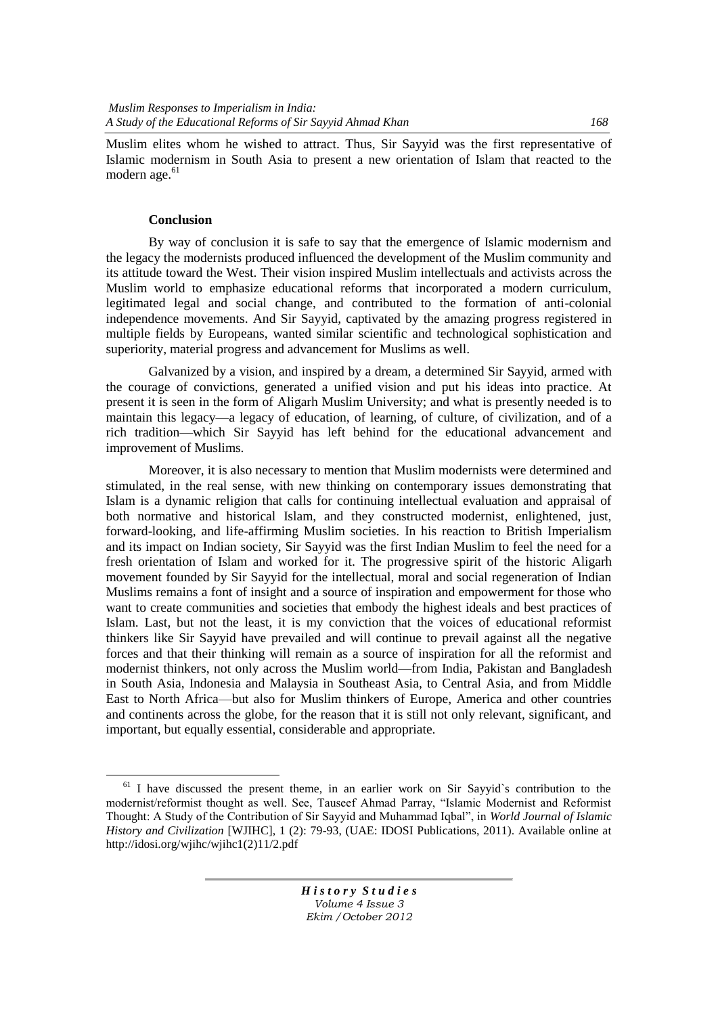Muslim elites whom he wished to attract. Thus, Sir Sayyid was the first representative of Islamic modernism in South Asia to present a new orientation of Islam that reacted to the modern age.<sup>61</sup>

## **Conclusion**

 $\overline{a}$ 

By way of conclusion it is safe to say that the emergence of Islamic modernism and the legacy the modernists produced influenced the development of the Muslim community and its attitude toward the West. Their vision inspired Muslim intellectuals and activists across the Muslim world to emphasize educational reforms that incorporated a modern curriculum, legitimated legal and social change, and contributed to the formation of anti-colonial independence movements. And Sir Sayyid, captivated by the amazing progress registered in multiple fields by Europeans, wanted similar scientific and technological sophistication and superiority, material progress and advancement for Muslims as well.

Galvanized by a vision, and inspired by a dream, a determined Sir Sayyid, armed with the courage of convictions, generated a unified vision and put his ideas into practice. At present it is seen in the form of Aligarh Muslim University; and what is presently needed is to maintain this legacy—a legacy of education, of learning, of culture, of civilization, and of a rich tradition—which Sir Sayyid has left behind for the educational advancement and improvement of Muslims.

Moreover, it is also necessary to mention that Muslim modernists were determined and stimulated, in the real sense, with new thinking on contemporary issues demonstrating that Islam is a dynamic religion that calls for continuing intellectual evaluation and appraisal of both normative and historical Islam, and they constructed modernist, enlightened, just, forward-looking, and life-affirming Muslim societies. In his reaction to British Imperialism and its impact on Indian society, Sir Sayyid was the first Indian Muslim to feel the need for a fresh orientation of Islam and worked for it. The progressive spirit of the historic Aligarh movement founded by Sir Sayyid for the intellectual, moral and social regeneration of Indian Muslims remains a font of insight and a source of inspiration and empowerment for those who want to create communities and societies that embody the highest ideals and best practices of Islam. Last, but not the least, it is my conviction that the voices of educational reformist thinkers like Sir Sayyid have prevailed and will continue to prevail against all the negative forces and that their thinking will remain as a source of inspiration for all the reformist and modernist thinkers, not only across the Muslim world—from India, Pakistan and Bangladesh in South Asia, Indonesia and Malaysia in Southeast Asia, to Central Asia, and from Middle East to North Africa—but also for Muslim thinkers of Europe, America and other countries and continents across the globe, for the reason that it is still not only relevant, significant, and important, but equally essential, considerable and appropriate.

 $61$  I have discussed the present theme, in an earlier work on Sir Sayyid`s contribution to the modernist/reformist thought as well. See, Tauseef Ahmad Parray, "Islamic Modernist and Reformist Thought: A Study of the Contribution of Sir Sayyid and Muhammad Iqbal", in *World Journal of Islamic History and Civilization* [WJIHC], 1 (2): 79-93, (UAE: IDOSI Publications, 2011). Available online at [http://idosi.org/wjihc/wjihc1\(2\)11/2.pdf](http://idosi.org/wjihc/wjihc1(2)11/2.pdf)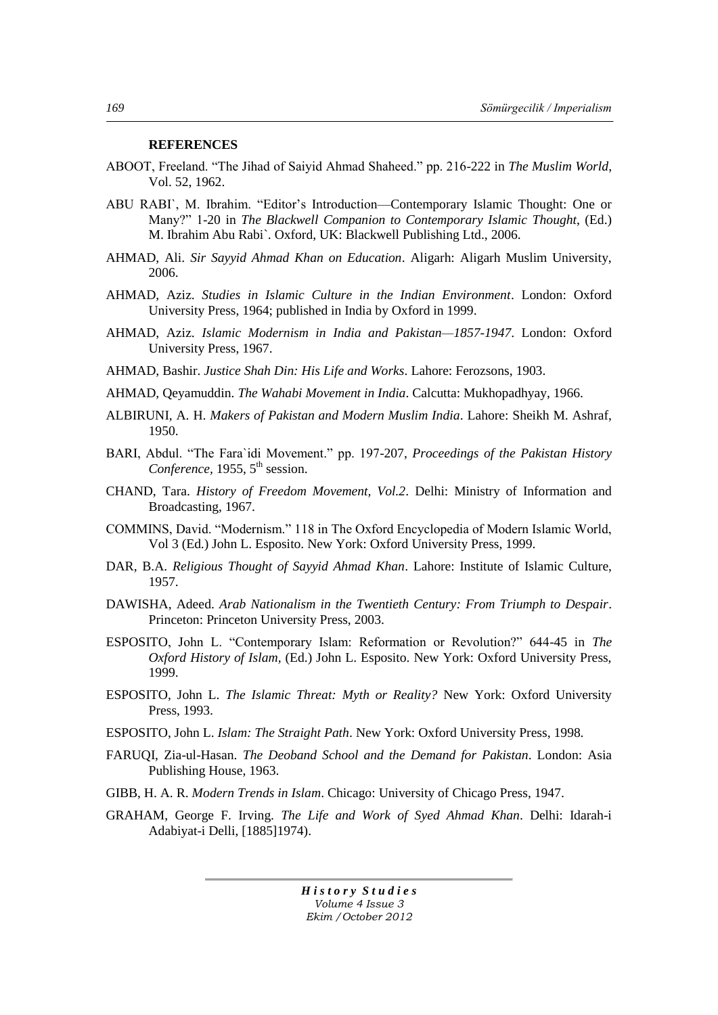#### **REFERENCES**

- ABOOT, Freeland. "The Jihad of Saiyid Ahmad Shaheed." pp. 216-222 in *The Muslim World*, Vol. 52, 1962.
- ABU RABI`, M. Ibrahim. "Editor's Introduction—Contemporary Islamic Thought: One or Many?‖ 1-20 in *The Blackwell Companion to Contemporary Islamic Thought*, (Ed.) M. Ibrahim Abu Rabi`. Oxford, UK: Blackwell Publishing Ltd., 2006.
- AHMAD, Ali. *Sir Sayyid Ahmad Khan on Education*. Aligarh: Aligarh Muslim University, 2006.
- AHMAD, Aziz. *Studies in Islamic Culture in the Indian Environment*. London: Oxford University Press, 1964; published in India by Oxford in 1999.
- AHMAD, Aziz. *Islamic Modernism in India and Pakistan—1857-1947*. London: Oxford University Press, 1967.
- AHMAD, Bashir. *Justice Shah Din: His Life and Works*. Lahore: Ferozsons, 1903.
- AHMAD, Qeyamuddin. *The Wahabi Movement in India*. Calcutta: Mukhopadhyay, 1966.
- ALBIRUNI, A. H. *Makers of Pakistan and Modern Muslim India*. Lahore: Sheikh M. Ashraf, 1950.
- BARI, Abdul. "The Fara'idi Movement." pp. 197-207, Proceedings of the Pakistan History *Conference*, 1955, 5<sup>th</sup> session.
- CHAND, Tara. *History of Freedom Movement, Vol.2*. Delhi: Ministry of Information and Broadcasting, 1967.
- COMMINS, David. "Modernism." 118 in The Oxford Encyclopedia of Modern Islamic World, Vol 3 (Ed.) John L. Esposito. New York: Oxford University Press, 1999.
- DAR, B.A. *Religious Thought of Sayyid Ahmad Khan*. Lahore: Institute of Islamic Culture, 1957.
- DAWISHA, Adeed. *Arab Nationalism in the Twentieth Century: From Triumph to Despair*. Princeton: Princeton University Press, 2003.
- ESPOSITO, John L. "Contemporary Islam: Reformation or Revolution?" 644-45 in *The Oxford History of Islam,* (Ed.) John L. Esposito. New York: Oxford University Press, 1999.
- ESPOSITO, John L. *The Islamic Threat: Myth or Reality?* New York: Oxford University Press, 1993.
- ESPOSITO, John L. *Islam: The Straight Path*. New York: Oxford University Press, 1998.
- FARUQI, Zia-ul-Hasan. *The Deoband School and the Demand for Pakistan*. London: Asia Publishing House, 1963.
- GIBB, H. A. R. *Modern Trends in Islam*. Chicago: University of Chicago Press, 1947.
- GRAHAM, George F. Irving. *The Life and Work of Syed Ahmad Khan*. Delhi: Idarah-i Adabiyat-i Delli, [1885]1974).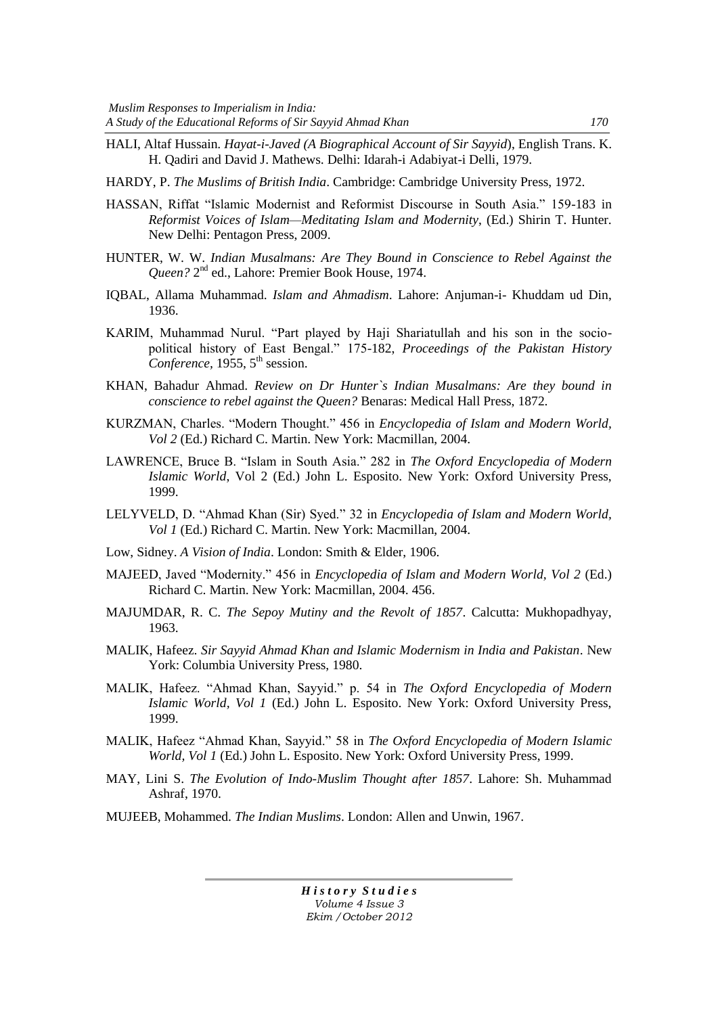- HALI, Altaf Hussain. *Hayat-i-Javed (A Biographical Account of Sir Sayyid*), English Trans. K. H. Qadiri and David J. Mathews. Delhi: Idarah-i Adabiyat-i Delli, 1979.
- HARDY, P. *The Muslims of British India*. Cambridge: Cambridge University Press, 1972.
- HASSAN, Riffat "Islamic Modernist and Reformist Discourse in South Asia." 159-183 in *Reformist Voices of Islam—Meditating Islam and Modernity*, (Ed.) Shirin T. Hunter. New Delhi: Pentagon Press, 2009.
- HUNTER, W. W. *Indian Musalmans: Are They Bound in Conscience to Rebel Against the*  Queen? 2<sup>nd</sup> ed., Lahore: Premier Book House, 1974.
- IQBAL, Allama Muhammad. *Islam and Ahmadism*. Lahore: Anjuman-i- Khuddam ud Din, 1936.
- KARIM, Muhammad Nurul. "Part played by Haji Shariatullah and his son in the sociopolitical history of East Bengal." 175-182, *Proceedings of the Pakistan History* Conference, 1955, 5<sup>th</sup> session.
- KHAN, Bahadur Ahmad. *Review on Dr Hunter`s Indian Musalmans: Are they bound in conscience to rebel against the Queen?* Benaras: Medical Hall Press, 1872.
- KURZMAN, Charles. "Modern Thought." 456 in *Encyclopedia of Islam and Modern World*, *Vol 2* (Ed.) Richard C. Martin. New York: Macmillan, 2004.
- LAWRENCE, Bruce B. "Islam in South Asia." 282 in *The Oxford Encyclopedia of Modern Islamic World*, Vol 2 (Ed.) John L. Esposito. New York: Oxford University Press, 1999.
- LELYVELD, D. "Ahmad Khan (Sir) Syed." 32 in *Encyclopedia of Islam and Modern World*, *Vol 1* (Ed.) Richard C. Martin. New York: Macmillan, 2004.
- Low, Sidney. *A Vision of India*. London: Smith & Elder, 1906.
- MAJEED, Javed "Modernity." 456 in *Encyclopedia of Islam and Modern World, Vol 2* (Ed.) Richard C. Martin. New York: Macmillan, 2004. 456.
- MAJUMDAR, R. C. *The Sepoy Mutiny and the Revolt of 1857*. Calcutta: Mukhopadhyay, 1963.
- MALIK, Hafeez. *Sir Sayyid Ahmad Khan and Islamic Modernism in India and Pakistan*. New York: Columbia University Press, 1980.
- MALIK, Hafeez. "Ahmad Khan, Sayyid." p. 54 in *The Oxford Encyclopedia of Modern Islamic World, Vol 1* (Ed.) John L. Esposito. New York: Oxford University Press, 1999.
- MALIK, Hafeez "Ahmad Khan, Sayyid." 58 in *The Oxford Encyclopedia of Modern Islamic World, Vol 1* (Ed.) John L. Esposito. New York: Oxford University Press, 1999.
- MAY, Lini S. *The Evolution of Indo-Muslim Thought after 1857*. Lahore: Sh. Muhammad Ashraf, 1970.
- MUJEEB, Mohammed. *The Indian Muslims*. London: Allen and Unwin, 1967.